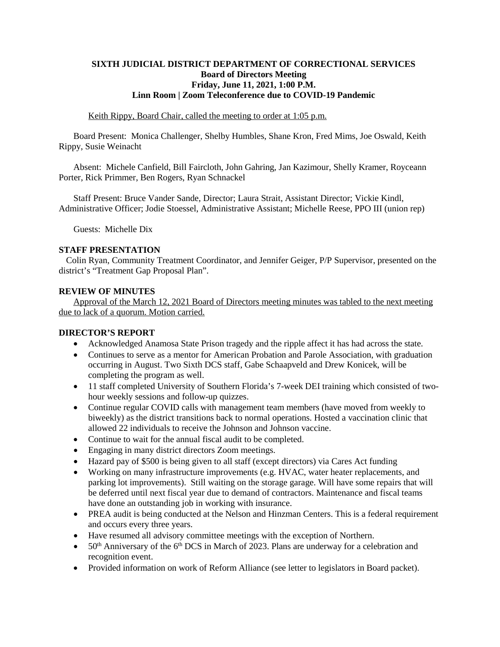### **SIXTH JUDICIAL DISTRICT DEPARTMENT OF CORRECTIONAL SERVICES Board of Directors Meeting Friday, June 11, 2021, 1:00 P.M. Linn Room | Zoom Teleconference due to COVID-19 Pandemic**

#### Keith Rippy, Board Chair, called the meeting to order at 1:05 p.m.

Board Present: Monica Challenger, Shelby Humbles, Shane Kron, Fred Mims, Joe Oswald, Keith Rippy, Susie Weinacht

Absent: Michele Canfield, Bill Faircloth, John Gahring, Jan Kazimour, Shelly Kramer, Royceann Porter, Rick Primmer, Ben Rogers, Ryan Schnackel

Staff Present: Bruce Vander Sande, Director; Laura Strait, Assistant Director; Vickie Kindl, Administrative Officer; Jodie Stoessel, Administrative Assistant; Michelle Reese, PPO III (union rep)

Guests: Michelle Dix

#### **STAFF PRESENTATION**

Colin Ryan, Community Treatment Coordinator, and Jennifer Geiger, P/P Supervisor, presented on the district's "Treatment Gap Proposal Plan".

#### **REVIEW OF MINUTES**

Approval of the March 12, 2021 Board of Directors meeting minutes was tabled to the next meeting due to lack of a quorum. Motion carried.

### **DIRECTOR'S REPORT**

- Acknowledged Anamosa State Prison tragedy and the ripple affect it has had across the state.
- Continues to serve as a mentor for American Probation and Parole Association, with graduation occurring in August. Two Sixth DCS staff, Gabe Schaapveld and Drew Konicek, will be completing the program as well.
- 11 staff completed University of Southern Florida's 7-week DEI training which consisted of twohour weekly sessions and follow-up quizzes.
- Continue regular COVID calls with management team members (have moved from weekly to biweekly) as the district transitions back to normal operations. Hosted a vaccination clinic that allowed 22 individuals to receive the Johnson and Johnson vaccine.
- Continue to wait for the annual fiscal audit to be completed.
- Engaging in many district directors Zoom meetings.
- Hazard pay of \$500 is being given to all staff (except directors) via Cares Act funding
- Working on many infrastructure improvements (e.g. HVAC, water heater replacements, and parking lot improvements). Still waiting on the storage garage. Will have some repairs that will be deferred until next fiscal year due to demand of contractors. Maintenance and fiscal teams have done an outstanding job in working with insurance.
- PREA audit is being conducted at the Nelson and Hinzman Centers. This is a federal requirement and occurs every three years.
- Have resumed all advisory committee meetings with the exception of Northern.
- $50<sup>th</sup>$  Anniversary of the 6<sup>th</sup> DCS in March of 2023. Plans are underway for a celebration and recognition event.
- Provided information on work of Reform Alliance (see letter to legislators in Board packet).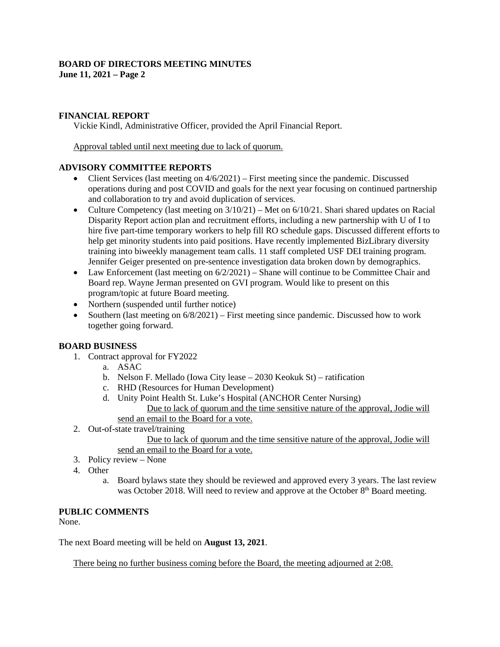#### **BOARD OF DIRECTORS MEETING MINUTES June 11, 2021 – Page 2**

### **FINANCIAL REPORT**

Vickie Kindl, Administrative Officer, provided the April Financial Report.

Approval tabled until next meeting due to lack of quorum.

### **ADVISORY COMMITTEE REPORTS**

- Client Services (last meeting on  $4/6/2021$ ) First meeting since the pandemic. Discussed operations during and post COVID and goals for the next year focusing on continued partnership and collaboration to try and avoid duplication of services.
- Culture Competency (last meeting on  $3/10/21$ ) Met on  $6/10/21$ . Shari shared updates on Racial Disparity Report action plan and recruitment efforts, including a new partnership with U of I to hire five part-time temporary workers to help fill RO schedule gaps. Discussed different efforts to help get minority students into paid positions. Have recently implemented BizLibrary diversity training into biweekly management team calls. 11 staff completed USF DEI training program. Jennifer Geiger presented on pre-sentence investigation data broken down by demographics.
- Law Enforcement (last meeting on  $6/2/2021$ ) Shane will continue to be Committee Chair and Board rep. Wayne Jerman presented on GVI program. Would like to present on this program/topic at future Board meeting.
- Northern (suspended until further notice)
- Southern (last meeting on  $6/8/2021$ ) First meeting since pandemic. Discussed how to work together going forward.

## **BOARD BUSINESS**

- 1. Contract approval for FY2022
	- a. ASAC
	- b. Nelson F. Mellado (Iowa City lease 2030 Keokuk St) ratification
	- c. RHD (Resources for Human Development)
	- d. Unity Point Health St. Luke's Hospital (ANCHOR Center Nursing) Due to lack of quorum and the time sensitive nature of the approval, Jodie will send an email to the Board for a vote.
	-
- 2. Out-of-state travel/training

Due to lack of quorum and the time sensitive nature of the approval, Jodie will send an email to the Board for a vote.

- 3. Policy review None
- 4. Other
	- a. Board bylaws state they should be reviewed and approved every 3 years. The last review was October 2018. Will need to review and approve at the October 8<sup>th</sup> Board meeting.

### **PUBLIC COMMENTS**

None.

The next Board meeting will be held on **August 13, 2021**.

There being no further business coming before the Board, the meeting adjourned at 2:08.